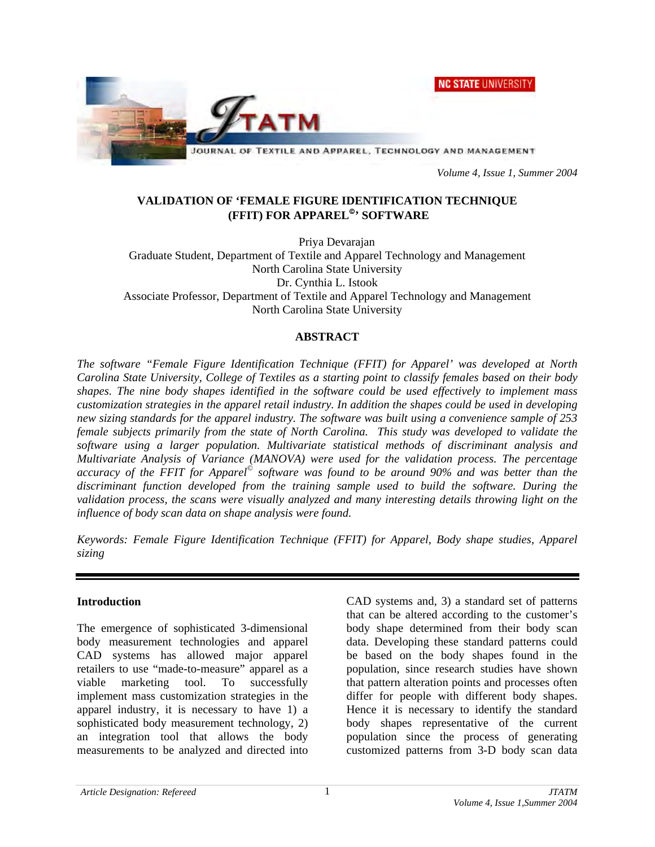**NC STATE UNIVERSITY** 



 *Volume 4, Issue 1, Summer 2004* 

## **VALIDATION OF 'FEMALE FIGURE IDENTIFICATION TECHNIQUE (FFIT) FOR APPAREL<sup>®</sup>' SOFTWARE**

Priya Devarajan Graduate Student, Department of Textile and Apparel Technology and Management North Carolina State University Dr. Cynthia L. Istook Associate Professor, Department of Textile and Apparel Technology and Management North Carolina State University

### **ABSTRACT**

*The software "Female Figure Identification Technique (FFIT) for Apparel' was developed at North Carolina State University, College of Textiles as a starting point to classify females based on their body shapes. The nine body shapes identified in the software could be used effectively to implement mass customization strategies in the apparel retail industry. In addition the shapes could be used in developing new sizing standards for the apparel industry. The software was built using a convenience sample of 253 female subjects primarily from the state of North Carolina. This study was developed to validate the software using a larger population. Multivariate statistical methods of discriminant analysis and Multivariate Analysis of Variance (MANOVA) were used for the validation process. The percentage accuracy of the FFIT for Apparel© software was found to be around 90% and was better than the discriminant function developed from the training sample used to build the software. During the validation process, the scans were visually analyzed and many interesting details throwing light on the influence of body scan data on shape analysis were found.* 

*Keywords: Female Figure Identification Technique (FFIT) for Apparel, Body shape studies, Apparel sizing* 

### **Introduction**

The emergence of sophisticated 3-dimensional body measurement technologies and apparel CAD systems has allowed major apparel retailers to use "made-to-measure" apparel as a viable marketing tool. To successfully implement mass customization strategies in the apparel industry, it is necessary to have 1) a sophisticated body measurement technology, 2) an integration tool that allows the body measurements to be analyzed and directed into

CAD systems and, 3) a standard set of patterns that can be altered according to the customer's body shape determined from their body scan data. Developing these standard patterns could be based on the body shapes found in the population, since research studies have shown that pattern alteration points and processes often differ for people with different body shapes. Hence it is necessary to identify the standard body shapes representative of the current population since the process of generating customized patterns from 3-D body scan data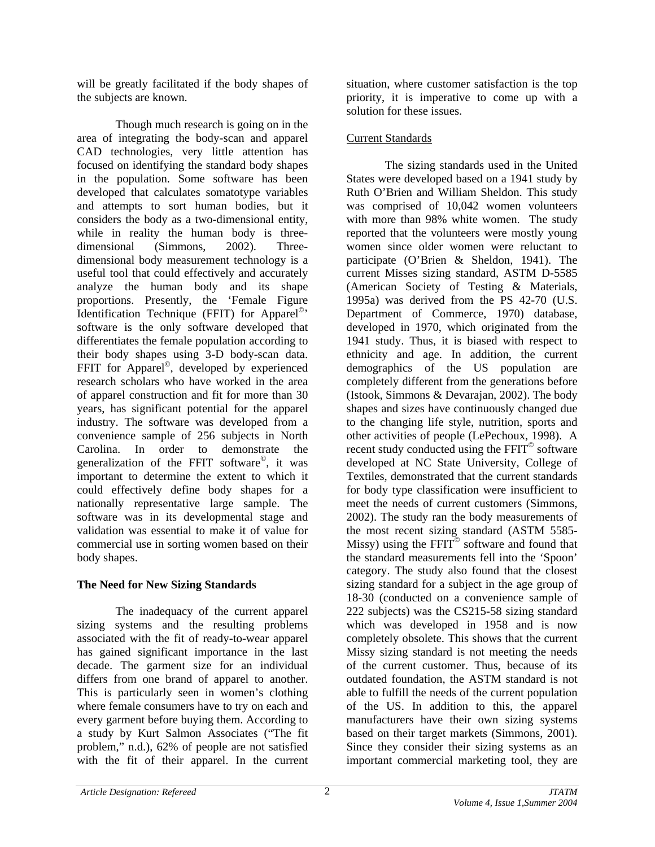will be greatly facilitated if the body shapes of the subjects are known.

Though much research is going on in the area of integrating the body-scan and apparel CAD technologies, very little attention has focused on identifying the standard body shapes in the population. Some software has been developed that calculates somatotype variables and attempts to sort human bodies, but it considers the body as a two-dimensional entity, while in reality the human body is threedimensional (Simmons, 2002). Threedimensional body measurement technology is a useful tool that could effectively and accurately analyze the human body and its shape proportions. Presently, the 'Female Figure Identification Technique (FFIT) for Apparel<sup> $\heartsuit$ </sup> software is the only software developed that differentiates the female population according to their body shapes using 3-D body-scan data. FFIT for Apparel<sup>®</sup>, developed by experienced research scholars who have worked in the area of apparel construction and fit for more than 30 years, has significant potential for the apparel industry. The software was developed from a convenience sample of 256 subjects in North Carolina. In order to demonstrate the generalization of the FFIT software©, it was important to determine the extent to which it could effectively define body shapes for a nationally representative large sample. The software was in its developmental stage and validation was essential to make it of value for commercial use in sorting women based on their body shapes.

# **The Need for New Sizing Standards**

The inadequacy of the current apparel sizing systems and the resulting problems associated with the fit of ready-to-wear apparel has gained significant importance in the last decade. The garment size for an individual differs from one brand of apparel to another. This is particularly seen in women's clothing where female consumers have to try on each and every garment before buying them. According to a study by Kurt Salmon Associates ("The fit problem," n.d.), 62% of people are not satisfied with the fit of their apparel. In the current

situation, where customer satisfaction is the top priority, it is imperative to come up with a solution for these issues.

# Current Standards

The sizing standards used in the United States were developed based on a 1941 study by Ruth O'Brien and William Sheldon. This study was comprised of 10,042 women volunteers with more than 98% white women. The study reported that the volunteers were mostly young women since older women were reluctant to participate (O'Brien & Sheldon, 1941). The current Misses sizing standard, ASTM D-5585 (American Society of Testing & Materials, 1995a) was derived from the PS 42-70 (U.S. Department of Commerce, 1970) database, developed in 1970, which originated from the 1941 study. Thus, it is biased with respect to ethnicity and age. In addition, the current demographics of the US population are completely different from the generations before (Istook, Simmons & Devarajan, 2002). The body shapes and sizes have continuously changed due to the changing life style, nutrition, sports and other activities of people (LePechoux, 1998). A recent study conducted using the FFIT<sup>©</sup> software developed at NC State University, College of Textiles, demonstrated that the current standards for body type classification were insufficient to meet the needs of current customers (Simmons, 2002). The study ran the body measurements of the most recent sizing standard (ASTM 5585- Missy) using the  $FFT^{\circ}$  software and found that the standard measurements fell into the 'Spoon' category. The study also found that the closest sizing standard for a subject in the age group of 18-30 (conducted on a convenience sample of 222 subjects) was the CS215-58 sizing standard which was developed in 1958 and is now completely obsolete. This shows that the current Missy sizing standard is not meeting the needs of the current customer. Thus, because of its outdated foundation, the ASTM standard is not able to fulfill the needs of the current population of the US. In addition to this, the apparel manufacturers have their own sizing systems based on their target markets (Simmons, 2001). Since they consider their sizing systems as an important commercial marketing tool, they are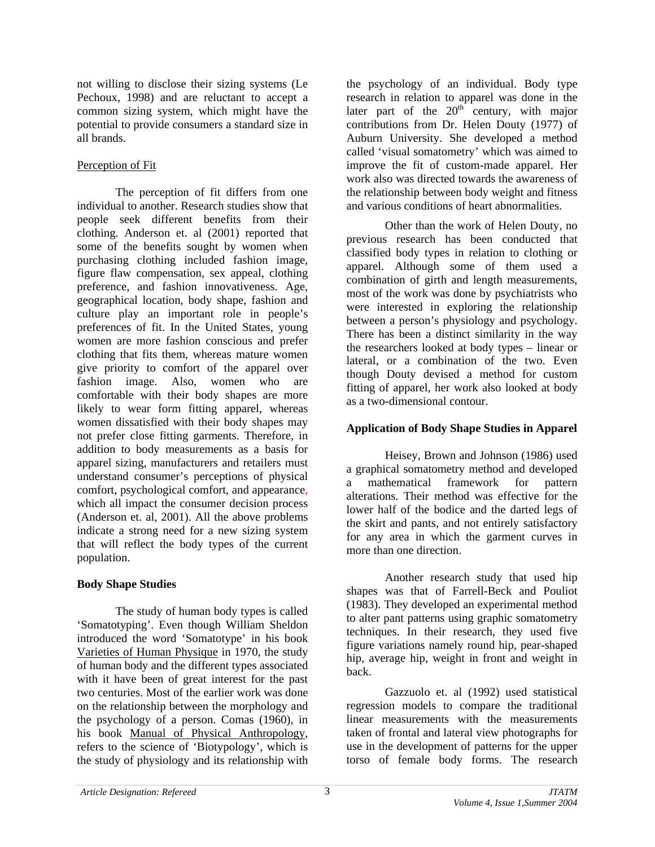not willing to disclose their sizing systems (Le Pechoux, 1998) and are reluctant to accept a common sizing system, which might have the potential to provide consumers a standard size in all brands.

## Perception of Fit

The perception of fit differs from one individual to another. Research studies show that people seek different benefits from their clothing. Anderson et. al (2001) reported that some of the benefits sought by women when purchasing clothing included fashion image, figure flaw compensation, sex appeal, clothing preference, and fashion innovativeness. Age, geographical location, body shape, fashion and culture play an important role in people's preferences of fit. In the United States, young women are more fashion conscious and prefer clothing that fits them, whereas mature women give priority to comfort of the apparel over fashion image. Also, women who are comfortable with their body shapes are more likely to wear form fitting apparel, whereas women dissatisfied with their body shapes may not prefer close fitting garments. Therefore, in addition to body measurements as a basis for apparel sizing, manufacturers and retailers must understand consumer's perceptions of physical comfort, psychological comfort, and appearance, which all impact the consumer decision process (Anderson et. al, 2001). All the above problems indicate a strong need for a new sizing system that will reflect the body types of the current population.

# **Body Shape Studies**

The study of human body types is called 'Somatotyping'. Even though William Sheldon introduced the word 'Somatotype' in his book Varieties of Human Physique in 1970, the study of human body and the different types associated with it have been of great interest for the past two centuries. Most of the earlier work was done on the relationship between the morphology and the psychology of a person. Comas (1960), in his book Manual of Physical Anthropology, refers to the science of 'Biotypology', which is the study of physiology and its relationship with

the psychology of an individual. Body type research in relation to apparel was done in the later part of the  $20<sup>th</sup>$  century, with major contributions from Dr. Helen Douty (1977) of Auburn University. She developed a method called 'visual somatometry' which was aimed to improve the fit of custom-made apparel. Her work also was directed towards the awareness of the relationship between body weight and fitness and various conditions of heart abnormalities.

Other than the work of Helen Douty, no previous research has been conducted that classified body types in relation to clothing or apparel. Although some of them used a combination of girth and length measurements, most of the work was done by psychiatrists who were interested in exploring the relationship between a person's physiology and psychology. There has been a distinct similarity in the way the researchers looked at body types – linear or lateral, or a combination of the two. Even though Douty devised a method for custom fitting of apparel, her work also looked at body as a two-dimensional contour.

# **Application of Body Shape Studies in Apparel**

Heisey, Brown and Johnson (1986) used a graphical somatometry method and developed a mathematical framework for pattern alterations. Their method was effective for the lower half of the bodice and the darted legs of the skirt and pants, and not entirely satisfactory for any area in which the garment curves in more than one direction.

Another research study that used hip shapes was that of Farrell-Beck and Pouliot (1983). They developed an experimental method to alter pant patterns using graphic somatometry techniques. In their research, they used five figure variations namely round hip, pear-shaped hip, average hip, weight in front and weight in back.

Gazzuolo et. al (1992) used statistical regression models to compare the traditional linear measurements with the measurements taken of frontal and lateral view photographs for use in the development of patterns for the upper torso of female body forms. The research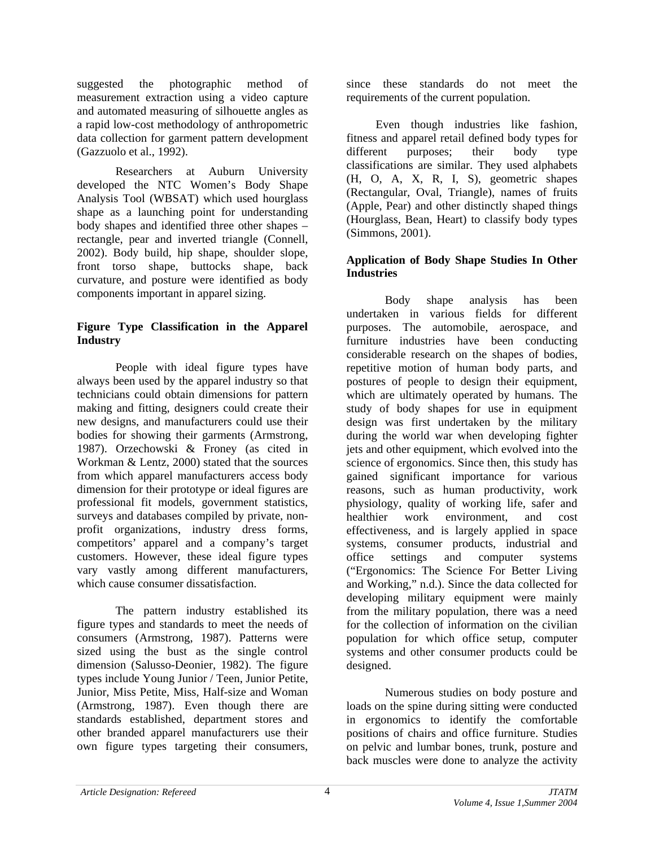suggested the photographic method of measurement extraction using a video capture and automated measuring of silhouette angles as a rapid low-cost methodology of anthropometric data collection for garment pattern development (Gazzuolo et al., 1992).

Researchers at Auburn University developed the NTC Women's Body Shape Analysis Tool (WBSAT) which used hourglass shape as a launching point for understanding body shapes and identified three other shapes – rectangle, pear and inverted triangle (Connell, 2002). Body build, hip shape, shoulder slope, front torso shape, buttocks shape, back curvature, and posture were identified as body components important in apparel sizing.

## **Figure Type Classification in the Apparel Industry**

People with ideal figure types have always been used by the apparel industry so that technicians could obtain dimensions for pattern making and fitting, designers could create their new designs, and manufacturers could use their bodies for showing their garments (Armstrong, 1987). Orzechowski & Froney (as cited in Workman & Lentz, 2000) stated that the sources from which apparel manufacturers access body dimension for their prototype or ideal figures are professional fit models, government statistics, surveys and databases compiled by private, nonprofit organizations, industry dress forms, competitors' apparel and a company's target customers. However, these ideal figure types vary vastly among different manufacturers, which cause consumer dissatisfaction.

The pattern industry established its figure types and standards to meet the needs of consumers (Armstrong, 1987). Patterns were sized using the bust as the single control dimension (Salusso-Deonier, 1982). The figure types include Young Junior / Teen, Junior Petite, Junior, Miss Petite, Miss, Half-size and Woman (Armstrong, 1987). Even though there are standards established, department stores and other branded apparel manufacturers use their own figure types targeting their consumers,

since these standards do not meet the requirements of the current population.

 Even though industries like fashion, fitness and apparel retail defined body types for different purposes; their body type classifications are similar. They used alphabets (H, O, A, X, R, I, S), geometric shapes (Rectangular, Oval, Triangle), names of fruits (Apple, Pear) and other distinctly shaped things (Hourglass, Bean, Heart) to classify body types (Simmons, 2001).

### **Application of Body Shape Studies In Other Industries**

Body shape analysis has been undertaken in various fields for different purposes. The automobile, aerospace, and furniture industries have been conducting considerable research on the shapes of bodies, repetitive motion of human body parts, and postures of people to design their equipment, which are ultimately operated by humans. The study of body shapes for use in equipment design was first undertaken by the military during the world war when developing fighter jets and other equipment, which evolved into the science of ergonomics. Since then, this study has gained significant importance for various reasons, such as human productivity, work physiology, quality of working life, safer and healthier work environment, and cost effectiveness, and is largely applied in space systems, consumer products, industrial and office settings and computer systems ("Ergonomics: The Science For Better Living and Working," n.d.). Since the data collected for developing military equipment were mainly from the military population, there was a need for the collection of information on the civilian population for which office setup, computer systems and other consumer products could be designed.

Numerous studies on body posture and loads on the spine during sitting were conducted in ergonomics to identify the comfortable positions of chairs and office furniture. Studies on pelvic and lumbar bones, trunk, posture and back muscles were done to analyze the activity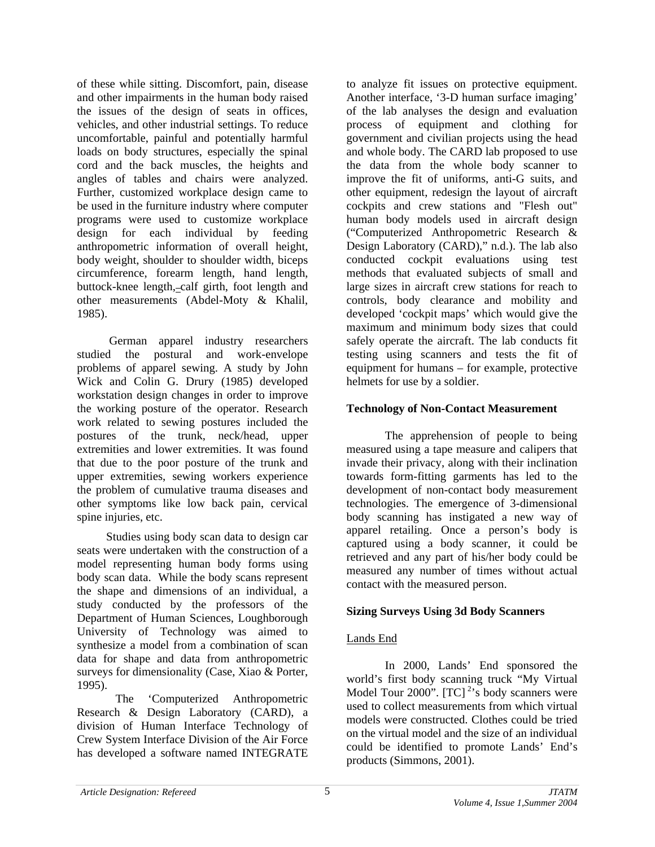of these while sitting. Discomfort, pain, disease and other impairments in the human body raised the issues of the design of seats in offices, vehicles, and other industrial settings. To reduce uncomfortable, painful and potentially harmful loads on body structures, especially the spinal cord and the back muscles, the heights and angles of tables and chairs were analyzed. Further, customized workplace design came to be used in the furniture industry where computer programs were used to customize workplace design for each individual by feeding anthropometric information of overall height, body weight, shoulder to shoulder width, biceps circumference, forearm length, hand length, buttock-knee length, calf girth, foot length and other measurements (Abdel-Moty & Khalil, 1985).

 German apparel industry researchers studied the postural and work-envelope problems of apparel sewing. A study by John Wick and Colin G. Drury (1985) developed workstation design changes in order to improve the working posture of the operator. Research work related to sewing postures included the postures of the trunk, neck/head, upper extremities and lower extremities. It was found that due to the poor posture of the trunk and upper extremities, sewing workers experience the problem of cumulative trauma diseases and other symptoms like low back pain, cervical spine injuries, etc.

 Studies using body scan data to design car seats were undertaken with the construction of a model representing human body forms using body scan data. While the body scans represent the shape and dimensions of an individual, a study conducted by the professors of the Department of Human Sciences, Loughborough University of Technology was aimed to synthesize a model from a combination of scan data for shape and data from anthropometric surveys for dimensionality (Case, Xiao & Porter, 1995).

The 'Computerized Anthropometric Research & Design Laboratory (CARD), a division of Human Interface Technology of Crew System Interface Division of the Air Force has developed a software named INTEGRATE to analyze fit issues on protective equipment. Another interface, '3-D human surface imaging' of the lab analyses the design and evaluation process of equipment and clothing for government and civilian projects using the head and whole body. The CARD lab proposed to use the data from the whole body scanner to improve the fit of uniforms, anti-G suits, and other equipment, redesign the layout of aircraft cockpits and crew stations and "Flesh out" human body models used in aircraft design ("Computerized Anthropometric Research & Design Laboratory (CARD)," n.d.). The lab also conducted cockpit evaluations using test methods that evaluated subjects of small and large sizes in aircraft crew stations for reach to controls, body clearance and mobility and developed 'cockpit maps' which would give the maximum and minimum body sizes that could safely operate the aircraft. The lab conducts fit testing using scanners and tests the fit of equipment for humans – for example, protective helmets for use by a soldier.

## **Technology of Non-Contact Measurement**

The apprehension of people to being measured using a tape measure and calipers that invade their privacy, along with their inclination towards form-fitting garments has led to the development of non-contact body measurement technologies. The emergence of 3-dimensional body scanning has instigated a new way of apparel retailing. Once a person's body is captured using a body scanner, it could be retrieved and any part of his/her body could be measured any number of times without actual contact with the measured person.

# **Sizing Surveys Using 3d Body Scanners**

# Lands End

In 2000, Lands' End sponsored the world's first body scanning truck "My Virtual Model Tour 2000".  $[TC]^2$ 's body scanners were used to collect measurements from which virtual models were constructed. Clothes could be tried on the virtual model and the size of an individual could be identified to promote Lands' End's products (Simmons, 2001).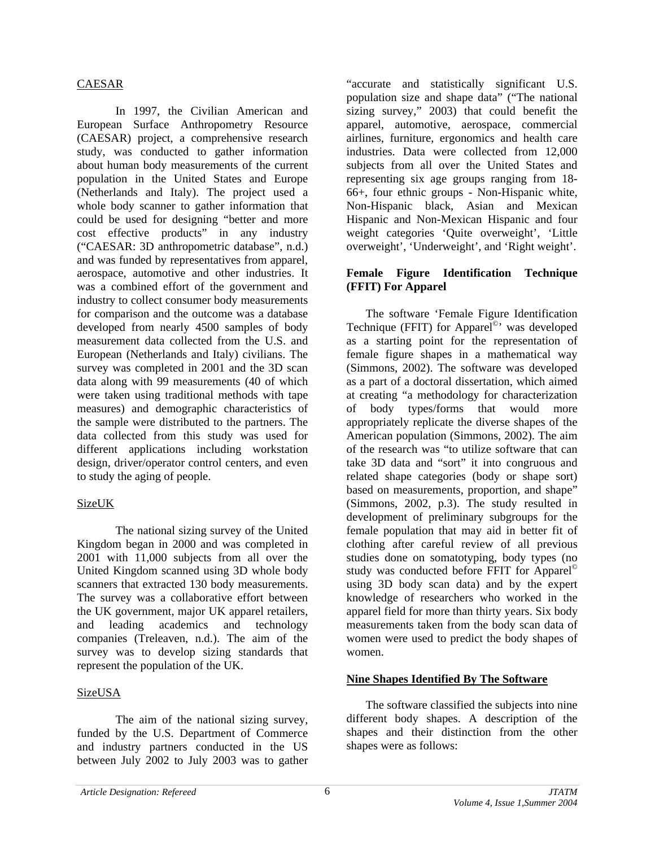### CAESAR

In 1997, the Civilian American and European Surface Anthropometry Resource (CAESAR) project, a comprehensive research study, was conducted to gather information about human body measurements of the current population in the United States and Europe (Netherlands and Italy). The project used a whole body scanner to gather information that could be used for designing "better and more cost effective products" in any industry ("CAESAR: 3D anthropometric database", n.d.) and was funded by representatives from apparel, aerospace, automotive and other industries. It was a combined effort of the government and industry to collect consumer body measurements for comparison and the outcome was a database developed from nearly 4500 samples of body measurement data collected from the U.S. and European (Netherlands and Italy) civilians. The survey was completed in 2001 and the 3D scan data along with 99 measurements (40 of which were taken using traditional methods with tape measures) and demographic characteristics of the sample were distributed to the partners. The data collected from this study was used for different applications including workstation design, driver/operator control centers, and even to study the aging of people.

# SizeUK

The national sizing survey of the United Kingdom began in 2000 and was completed in 2001 with 11,000 subjects from all over the United Kingdom scanned using 3D whole body scanners that extracted 130 body measurements. The survey was a collaborative effort between the UK government, major UK apparel retailers, and leading academics and technology companies (Treleaven, n.d.). The aim of the survey was to develop sizing standards that represent the population of the UK.

### SizeUSA

The aim of the national sizing survey, funded by the U.S. Department of Commerce and industry partners conducted in the US between July 2002 to July 2003 was to gather "accurate and statistically significant U.S. population size and shape data" ("The national sizing survey," 2003) that could benefit the apparel, automotive, aerospace, commercial airlines, furniture, ergonomics and health care industries. Data were collected from 12,000 subjects from all over the United States and representing six age groups ranging from 18- 66+, four ethnic groups - Non-Hispanic white, Non-Hispanic black, Asian and Mexican Hispanic and Non-Mexican Hispanic and four weight categories 'Quite overweight', 'Little overweight', 'Underweight', and 'Right weight'.

### **Female Figure Identification Technique (FFIT) For Apparel**

The software 'Female Figure Identification Technique (FFIT) for Apparel<sup>©</sup>' was developed as a starting point for the representation of female figure shapes in a mathematical way (Simmons, 2002). The software was developed as a part of a doctoral dissertation, which aimed at creating "a methodology for characterization of body types/forms that would more appropriately replicate the diverse shapes of the American population (Simmons, 2002). The aim of the research was "to utilize software that can take 3D data and "sort" it into congruous and related shape categories (body or shape sort) based on measurements, proportion, and shape" (Simmons, 2002, p.3). The study resulted in development of preliminary subgroups for the female population that may aid in better fit of clothing after careful review of all previous studies done on somatotyping, body types (no study was conducted before FFIT for Apparel© using 3D body scan data) and by the expert knowledge of researchers who worked in the apparel field for more than thirty years. Six body measurements taken from the body scan data of women were used to predict the body shapes of women.

### **Nine Shapes Identified By The Software**

The software classified the subjects into nine different body shapes. A description of the shapes and their distinction from the other shapes were as follows: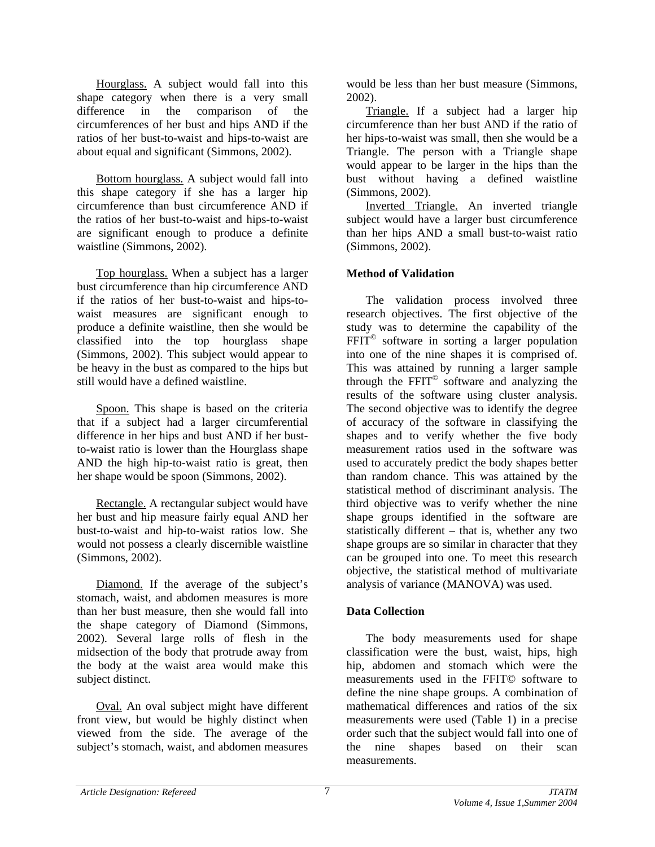Hourglass. A subject would fall into this shape category when there is a very small difference in the comparison of the circumferences of her bust and hips AND if the ratios of her bust-to-waist and hips-to-waist are about equal and significant (Simmons, 2002).

Bottom hourglass. A subject would fall into this shape category if she has a larger hip circumference than bust circumference AND if the ratios of her bust-to-waist and hips-to-waist are significant enough to produce a definite waistline (Simmons, 2002).

Top hourglass. When a subject has a larger bust circumference than hip circumference AND if the ratios of her bust-to-waist and hips-towaist measures are significant enough to produce a definite waistline, then she would be classified into the top hourglass shape (Simmons, 2002). This subject would appear to be heavy in the bust as compared to the hips but still would have a defined waistline.

Spoon. This shape is based on the criteria that if a subject had a larger circumferential difference in her hips and bust AND if her bustto-waist ratio is lower than the Hourglass shape AND the high hip-to-waist ratio is great, then her shape would be spoon (Simmons, 2002).

Rectangle. A rectangular subject would have her bust and hip measure fairly equal AND her bust-to-waist and hip-to-waist ratios low. She would not possess a clearly discernible waistline (Simmons, 2002).

Diamond. If the average of the subject's stomach, waist, and abdomen measures is more than her bust measure, then she would fall into the shape category of Diamond (Simmons, 2002). Several large rolls of flesh in the midsection of the body that protrude away from the body at the waist area would make this subject distinct.

Oval. An oval subject might have different front view, but would be highly distinct when viewed from the side. The average of the subject's stomach, waist, and abdomen measures would be less than her bust measure (Simmons, 2002).

Triangle. If a subject had a larger hip circumference than her bust AND if the ratio of her hips-to-waist was small, then she would be a Triangle. The person with a Triangle shape would appear to be larger in the hips than the bust without having a defined waistline (Simmons, 2002).

Inverted Triangle. An inverted triangle subject would have a larger bust circumference than her hips AND a small bust-to-waist ratio (Simmons, 2002).

## **Method of Validation**

The validation process involved three research objectives. The first objective of the study was to determine the capability of the FFIT© software in sorting a larger population into one of the nine shapes it is comprised of. This was attained by running a larger sample through the  $FFT^{\circ}$  software and analyzing the results of the software using cluster analysis. The second objective was to identify the degree of accuracy of the software in classifying the shapes and to verify whether the five body measurement ratios used in the software was used to accurately predict the body shapes better than random chance. This was attained by the statistical method of discriminant analysis. The third objective was to verify whether the nine shape groups identified in the software are statistically different – that is, whether any two shape groups are so similar in character that they can be grouped into one. To meet this research objective, the statistical method of multivariate analysis of variance (MANOVA) was used.

### **Data Collection**

The body measurements used for shape classification were the bust, waist, hips, high hip, abdomen and stomach which were the measurements used in the FFIT© software to define the nine shape groups. A combination of mathematical differences and ratios of the six measurements were used (Table 1) in a precise order such that the subject would fall into one of the nine shapes based on their scan measurements.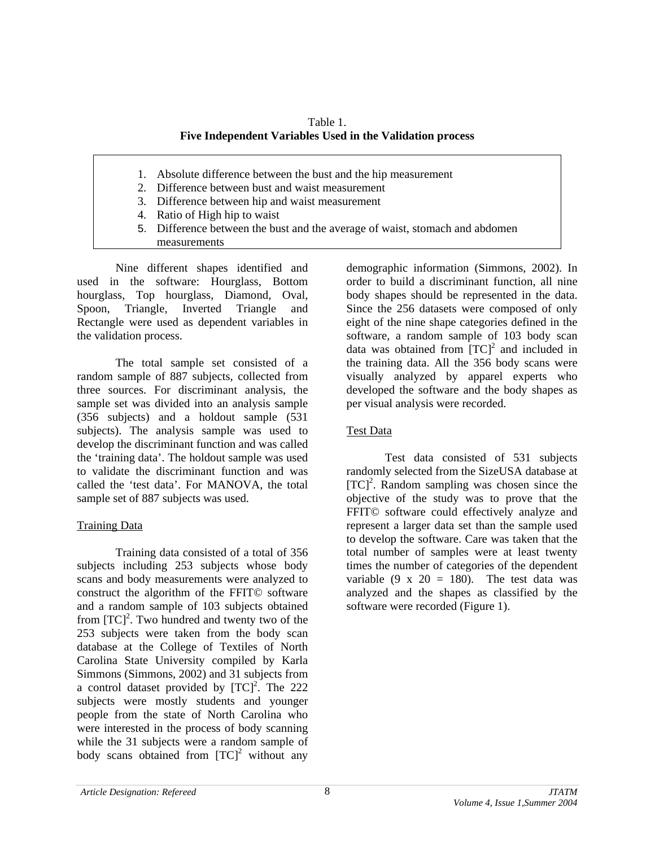| Table 1.                                                  |  |
|-----------------------------------------------------------|--|
| Five Independent Variables Used in the Validation process |  |

- 1. Absolute difference between the bust and the hip measurement
- 2. Difference between bust and waist measurement
- 3. Difference between hip and waist measurement
- 4. Ratio of High hip to waist
- 5. Difference between the bust and the average of waist, stomach and abdomen measurements

Nine different shapes identified and used in the software: Hourglass, Bottom hourglass, Top hourglass, Diamond, Oval, Spoon, Triangle, Inverted Triangle and Rectangle were used as dependent variables in the validation process.

The total sample set consisted of a random sample of 887 subjects, collected from three sources. For discriminant analysis, the sample set was divided into an analysis sample (356 subjects) and a holdout sample (531 subjects). The analysis sample was used to develop the discriminant function and was called the 'training data'. The holdout sample was used to validate the discriminant function and was called the 'test data'. For MANOVA, the total sample set of 887 subjects was used.

### Training Data

Training data consisted of a total of 356 subjects including 253 subjects whose body scans and body measurements were analyzed to construct the algorithm of the FFIT© software and a random sample of 103 subjects obtained from  ${[TC]}^2$ . Two hundred and twenty two of the 253 subjects were taken from the body scan database at the College of Textiles of North Carolina State University compiled by Karla Simmons (Simmons, 2002) and 31 subjects from a control dataset provided by  ${[TC]}^2$ . The 222 subjects were mostly students and younger people from the state of North Carolina who were interested in the process of body scanning while the 31 subjects were a random sample of body scans obtained from  ${[TC]}^2$  without any

demographic information (Simmons, 2002). In order to build a discriminant function, all nine body shapes should be represented in the data. Since the 256 datasets were composed of only eight of the nine shape categories defined in the software, a random sample of 103 body scan data was obtained from  $[TC]^2$  and included in the training data. All the 356 body scans were visually analyzed by apparel experts who developed the software and the body shapes as per visual analysis were recorded.

### Test Data

Test data consisted of 531 subjects randomly selected from the SizeUSA database at  $[TC]<sup>2</sup>$ . Random sampling was chosen since the objective of the study was to prove that the FFIT© software could effectively analyze and represent a larger data set than the sample used to develop the software. Care was taken that the total number of samples were at least twenty times the number of categories of the dependent variable  $(9 \times 20 = 180)$ . The test data was analyzed and the shapes as classified by the software were recorded (Figure 1).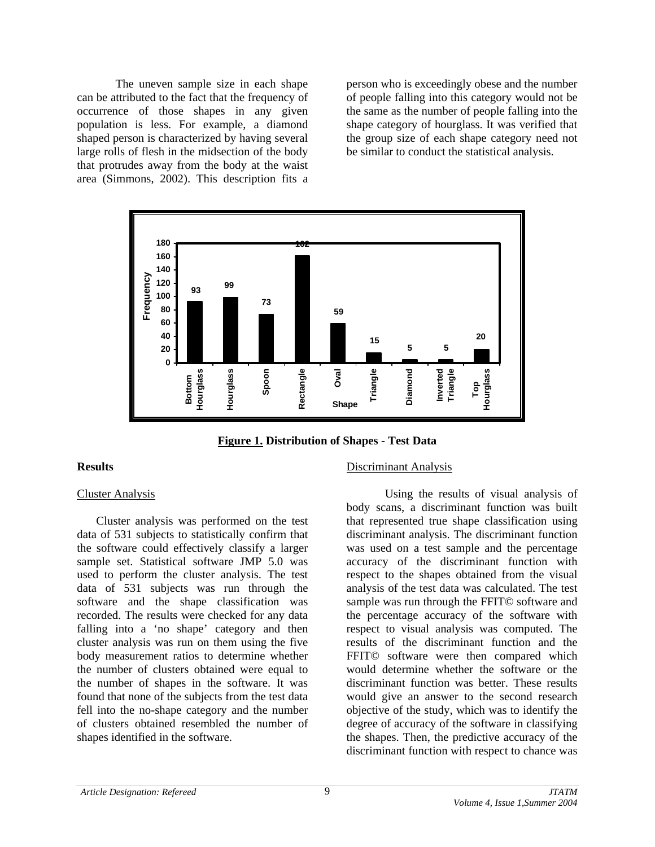The uneven sample size in each shape can be attributed to the fact that the frequency of occurrence of those shapes in any given population is less. For example, a diamond shaped person is characterized by having several large rolls of flesh in the midsection of the body that protrudes away from the body at the waist area (Simmons, 2002). This description fits a

person who is exceedingly obese and the number of people falling into this category would not be the same as the number of people falling into the shape category of hourglass. It was verified that the group size of each shape category need not be similar to conduct the statistical analysis.



**Figure 1. Distribution of Shapes - Test Data** 

### **Results**

#### Cluster Analysis

Cluster analysis was performed on the test data of 531 subjects to statistically confirm that the software could effectively classify a larger sample set. Statistical software JMP 5.0 was used to perform the cluster analysis. The test data of 531 subjects was run through the software and the shape classification was recorded. The results were checked for any data falling into a 'no shape' category and then cluster analysis was run on them using the five body measurement ratios to determine whether the number of clusters obtained were equal to the number of shapes in the software. It was found that none of the subjects from the test data fell into the no-shape category and the number of clusters obtained resembled the number of shapes identified in the software.

#### Discriminant Analysis

Using the results of visual analysis of body scans, a discriminant function was built that represented true shape classification using discriminant analysis. The discriminant function was used on a test sample and the percentage accuracy of the discriminant function with respect to the shapes obtained from the visual analysis of the test data was calculated. The test sample was run through the FFIT© software and the percentage accuracy of the software with respect to visual analysis was computed. The results of the discriminant function and the FFIT© software were then compared which would determine whether the software or the discriminant function was better. These results would give an answer to the second research objective of the study, which was to identify the degree of accuracy of the software in classifying the shapes. Then, the predictive accuracy of the discriminant function with respect to chance was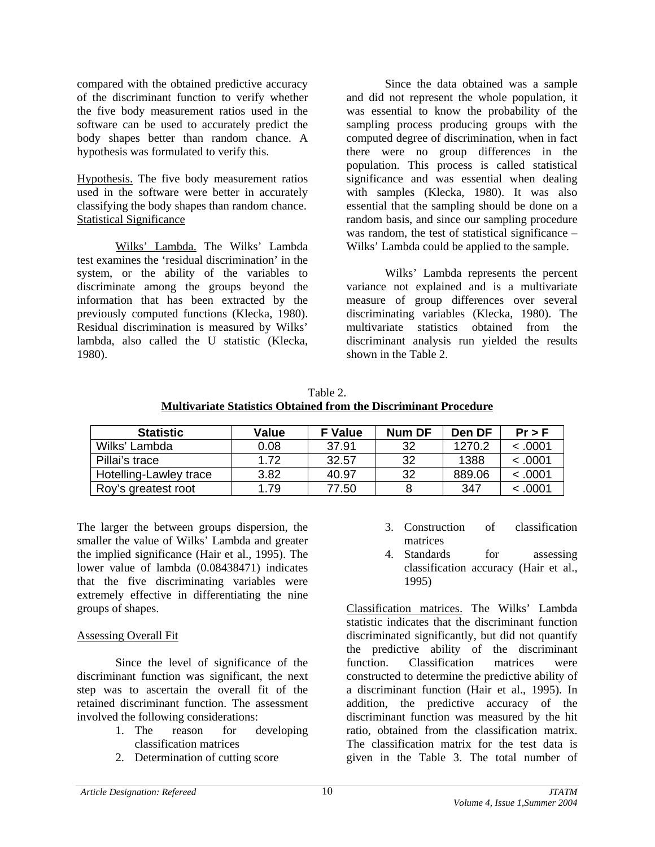compared with the obtained predictive accuracy of the discriminant function to verify whether the five body measurement ratios used in the software can be used to accurately predict the body shapes better than random chance. A hypothesis was formulated to verify this.

Hypothesis. The five body measurement ratios used in the software were better in accurately classifying the body shapes than random chance. Statistical Significance

 Wilks' Lambda. The Wilks' Lambda test examines the 'residual discrimination' in the system, or the ability of the variables to discriminate among the groups beyond the information that has been extracted by the previously computed functions (Klecka, 1980). Residual discrimination is measured by Wilks' lambda, also called the U statistic (Klecka, 1980).

 Since the data obtained was a sample and did not represent the whole population, it was essential to know the probability of the sampling process producing groups with the computed degree of discrimination, when in fact there were no group differences in the population. This process is called statistical significance and was essential when dealing with samples (Klecka, 1980). It was also essential that the sampling should be done on a random basis, and since our sampling procedure was random, the test of statistical significance – Wilks' Lambda could be applied to the sample.

 Wilks' Lambda represents the percent variance not explained and is a multivariate measure of group differences over several discriminating variables (Klecka, 1980). The multivariate statistics obtained from the discriminant analysis run yielded the results shown in the Table 2.

| Table 2.                                                         |
|------------------------------------------------------------------|
| Multivariate Statistics Obtained from the Discriminant Procedure |

| <b>Statistic</b>       | Value | <b>F</b> Value | <b>Num DF</b> | <b>Den DF</b> | $Pr$ > F |
|------------------------|-------|----------------|---------------|---------------|----------|
| Wilks' Lambda          | 0.08  | 37.91          | 32            | 1270.2        | < .0001  |
| Pillai's trace         | 1.72  | 32.57          | 32            | 1388          | < .0001  |
| Hotelling-Lawley trace | 3.82  | 40.97          | 32            | 889.06        | < .0001  |
| Roy's greatest root    | 1.79  | 77.50          |               | 347           | < .0001  |

The larger the between groups dispersion, the smaller the value of Wilks' Lambda and greater the implied significance (Hair et al., 1995). The lower value of lambda (0.08438471) indicates that the five discriminating variables were extremely effective in differentiating the nine groups of shapes.

#### Assessing Overall Fit

 Since the level of significance of the discriminant function was significant, the next step was to ascertain the overall fit of the retained discriminant function. The assessment involved the following considerations:

- 1. The reason for developing classification matrices
- 2. Determination of cutting score
- 3. Construction of classification matrices
- 4. Standards for assessing classification accuracy (Hair et al., 1995)

Classification matrices. The Wilks' Lambda statistic indicates that the discriminant function discriminated significantly, but did not quantify the predictive ability of the discriminant function. Classification matrices were constructed to determine the predictive ability of a discriminant function (Hair et al., 1995). In addition, the predictive accuracy of the discriminant function was measured by the hit ratio, obtained from the classification matrix. The classification matrix for the test data is given in the Table 3. The total number of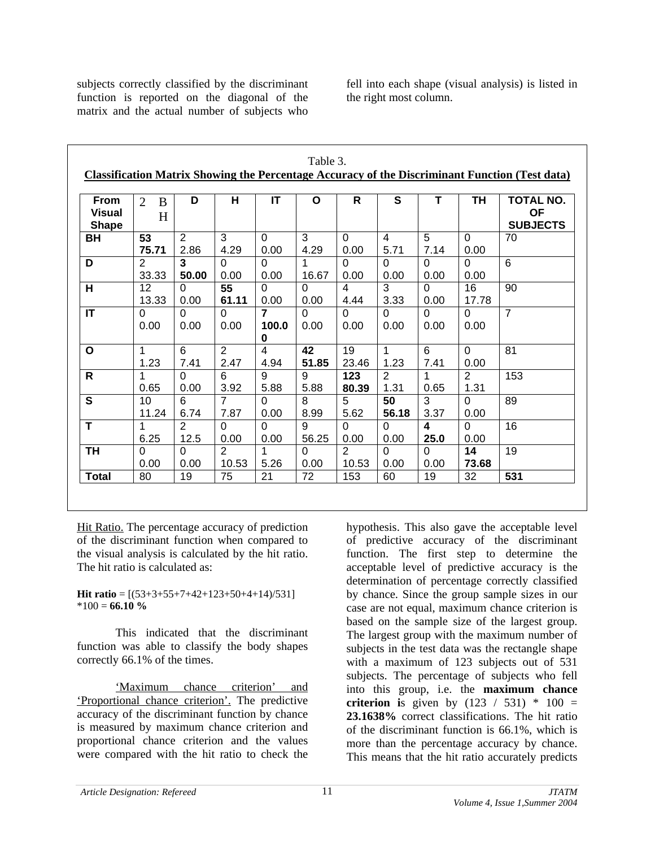subjects correctly classified by the discriminant function is reported on the diagonal of the matrix and the actual number of subjects who

fell into each shape (visual analysis) is listed in the right most column.

| <b>From</b><br><b>Visual</b><br><b>Shape</b> | 2<br>B<br>H                | D                      | н                       | $\mathsf{I}\mathsf{T}$ | O                | $\mathsf{R}$            | $\mathbf{s}$           | T                      | <b>TH</b>           | TOTAL NO.<br><b>OF</b><br><b>SUBJECTS</b> |
|----------------------------------------------|----------------------------|------------------------|-------------------------|------------------------|------------------|-------------------------|------------------------|------------------------|---------------------|-------------------------------------------|
| <b>BH</b>                                    | 53<br>75.71                | $\overline{2}$<br>2.86 | 3<br>4.29               | $\Omega$<br>0.00       | 3<br>4.29        | $\Omega$<br>0.00        | $\overline{4}$<br>5.71 | 5<br>7.14              | $\Omega$<br>0.00    | 70                                        |
| D                                            | 2<br>33.33                 | 3<br>50.00             | $\Omega$<br>0.00        | $\Omega$<br>0.00       | 1<br>16.67       | $\Omega$<br>0.00        | $\Omega$<br>0.00       | $\Omega$<br>0.00       | $\Omega$<br>0.00    | 6                                         |
| н                                            | $12 \overline{ }$<br>13.33 | 0<br>0.00              | 55<br>61.11             | $\Omega$<br>0.00       | $\Omega$<br>0.00 | 4<br>4.44               | 3<br>3.33              | $\Omega$<br>0.00       | 16<br>17.78         | 90                                        |
| IT                                           | $\Omega$<br>0.00           | $\Omega$<br>0.00       | $\Omega$<br>0.00        | 7<br>100.0<br>0        | $\Omega$<br>0.00 | 0<br>0.00               | $\Omega$<br>0.00       | $\Omega$<br>0.00       | $\Omega$<br>0.00    | $\overline{7}$                            |
| O                                            | 1<br>1.23                  | 6<br>7.41              | $\overline{2}$<br>2.47  | 4<br>4.94              | 42<br>51.85      | 19<br>23.46             | 1<br>1.23              | $6\phantom{1}$<br>7.41 | $\mathbf 0$<br>0.00 | 81                                        |
| $\mathsf{R}$                                 | 1<br>0.65                  | $\Omega$<br>0.00       | 6<br>3.92               | 9<br>5.88              | 9<br>5.88        | 123<br>80.39            | $\overline{2}$<br>1.31 | 1<br>0.65              | 2<br>1.31           | 153                                       |
| S                                            | 10<br>11.24                | 6<br>6.74              | $\overline{7}$<br>7.87  | $\Omega$<br>0.00       | 8<br>8.99        | 5<br>5.62               | 50<br>56.18            | 3<br>3.37              | $\Omega$<br>0.00    | 89                                        |
| T                                            | 1<br>6.25                  | $\overline{2}$<br>12.5 | $\Omega$<br>0.00        | $\Omega$<br>0.00       | 9<br>56.25       | $\Omega$<br>0.00        | $\Omega$<br>0.00       | 4<br>25.0              | $\Omega$<br>0.00    | 16                                        |
| <b>TH</b>                                    | $\Omega$<br>0.00           | $\Omega$<br>0.00       | $\overline{2}$<br>10.53 | 1<br>5.26              | $\Omega$<br>0.00 | $\overline{2}$<br>10.53 | 0<br>0.00              | $\Omega$<br>0.00       | 14<br>73.68         | 19                                        |
| <b>Total</b>                                 | 80                         | 19                     | 75                      | 21                     | 72               | 153                     | 60                     | 19                     | 32                  | 531                                       |

Hit Ratio. The percentage accuracy of prediction of the discriminant function when compared to the visual analysis is calculated by the hit ratio. The hit ratio is calculated as:

**Hit ratio** = [(53+3+55+7+42+123+50+4+14)/531]  $*100 = 66.10 \%$ 

 This indicated that the discriminant function was able to classify the body shapes correctly 66.1% of the times.

 'Maximum chance criterion' and 'Proportional chance criterion'. The predictive accuracy of the discriminant function by chance is measured by maximum chance criterion and proportional chance criterion and the values were compared with the hit ratio to check the

hypothesis. This also gave the acceptable level of predictive accuracy of the discriminant function. The first step to determine the acceptable level of predictive accuracy is the determination of percentage correctly classified by chance. Since the group sample sizes in our case are not equal, maximum chance criterion is based on the sample size of the largest group. The largest group with the maximum number of subjects in the test data was the rectangle shape with a maximum of 123 subjects out of 531 subjects. The percentage of subjects who fell into this group, i.e. the **maximum chance criterion is** given by  $(123 / 531) * 100 =$ **23.1638%** correct classifications. The hit ratio of the discriminant function is 66.1%, which is more than the percentage accuracy by chance. This means that the hit ratio accurately predicts

ֺ֖֚֝֬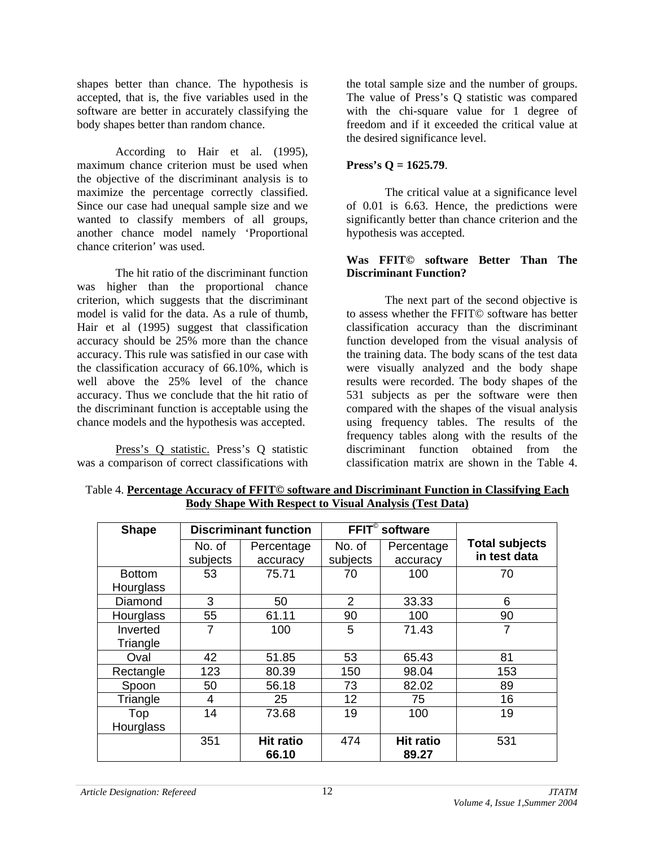shapes better than chance. The hypothesis is accepted, that is, the five variables used in the software are better in accurately classifying the body shapes better than random chance.

 According to Hair et al. (1995), maximum chance criterion must be used when the objective of the discriminant analysis is to maximize the percentage correctly classified. Since our case had unequal sample size and we wanted to classify members of all groups, another chance model namely 'Proportional chance criterion' was used.

 The hit ratio of the discriminant function was higher than the proportional chance criterion, which suggests that the discriminant model is valid for the data. As a rule of thumb, Hair et al (1995) suggest that classification accuracy should be 25% more than the chance accuracy. This rule was satisfied in our case with the classification accuracy of 66.10%, which is well above the 25% level of the chance accuracy. Thus we conclude that the hit ratio of the discriminant function is acceptable using the chance models and the hypothesis was accepted.

 Press's Q statistic. Press's Q statistic was a comparison of correct classifications with the total sample size and the number of groups. The value of Press's Q statistic was compared with the chi-square value for 1 degree of freedom and if it exceeded the critical value at the desired significance level.

#### **Press's Q = 1625.79**.

 The critical value at a significance level of 0.01 is 6.63. Hence, the predictions were significantly better than chance criterion and the hypothesis was accepted.

### **Was FFIT© software Better Than The Discriminant Function?**

The next part of the second objective is to assess whether the FFIT© software has better classification accuracy than the discriminant function developed from the visual analysis of the training data. The body scans of the test data were visually analyzed and the body shape results were recorded. The body shapes of the 531 subjects as per the software were then compared with the shapes of the visual analysis using frequency tables. The results of the frequency tables along with the results of the discriminant function obtained from the classification matrix are shown in the Table 4.

| <b>Shape</b>  |                    | <b>Discriminant function</b> |                    | $\overline{\mathsf{FFIT}}^\circledcirc$ software |                                       |
|---------------|--------------------|------------------------------|--------------------|--------------------------------------------------|---------------------------------------|
|               | No. of<br>subjects | Percentage<br>accuracy       | No. of<br>subjects | Percentage<br>accuracy                           | <b>Total subjects</b><br>in test data |
| <b>Bottom</b> | 53                 | 75.71                        | 100<br>70          |                                                  | 70                                    |
| Hourglass     |                    |                              |                    |                                                  |                                       |
| Diamond       | 3                  | 50                           | $\overline{2}$     | 33.33                                            | 6                                     |
| Hourglass     | 55                 | 61.11                        | 90                 | 100                                              | 90                                    |
| Inverted      | 7                  | 100                          | 71.43<br>5         |                                                  | 7                                     |
| Triangle      |                    |                              |                    |                                                  |                                       |
| Oval          | 42                 | 51.85                        | 53                 | 65.43                                            | 81                                    |
| Rectangle     | 123                | 80.39                        | 150                | 98.04                                            | 153                                   |
| Spoon         | 50                 | 56.18                        | 73                 | 82.02                                            | 89                                    |
| Triangle      | 4                  | 25                           | 12                 | 75                                               | 16                                    |
| Top           | 14                 | 73.68                        | 19                 | 100                                              | 19                                    |
| Hourglass     |                    |                              |                    |                                                  |                                       |
|               | 351                | <b>Hit ratio</b>             | 474                | <b>Hit ratio</b>                                 | 531                                   |
|               |                    | 66.10                        |                    | 89.27                                            |                                       |

Table 4. **Percentage Accuracy of FFIT© software and Discriminant Function in Classifying Each Body Shape With Respect to Visual Analysis (Test Data)**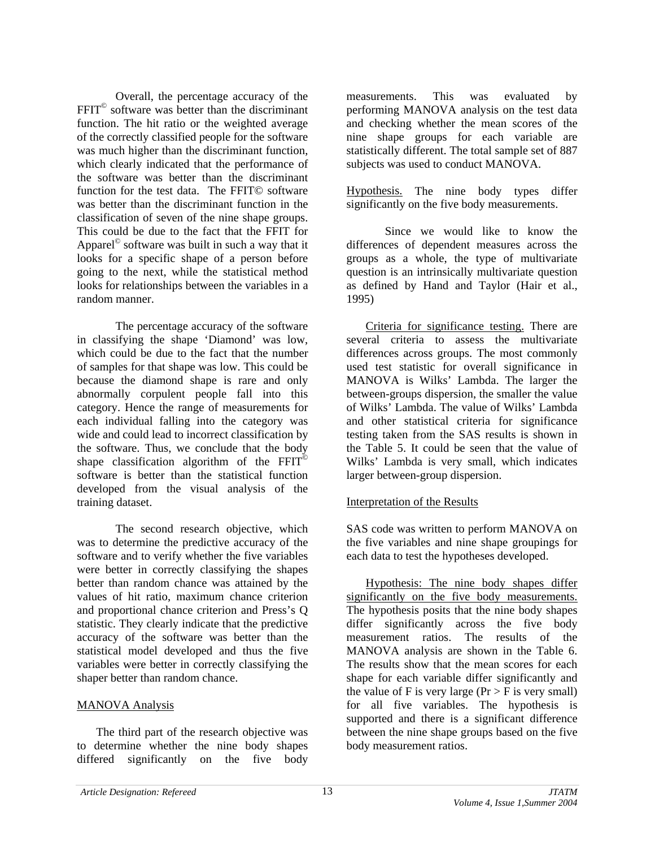Overall, the percentage accuracy of the FFIT<sup>©</sup> software was better than the discriminant function. The hit ratio or the weighted average of the correctly classified people for the software was much higher than the discriminant function, which clearly indicated that the performance of the software was better than the discriminant function for the test data. The FFIT© software was better than the discriminant function in the classification of seven of the nine shape groups. This could be due to the fact that the FFIT for Apparel© software was built in such a way that it looks for a specific shape of a person before going to the next, while the statistical method looks for relationships between the variables in a random manner.

The percentage accuracy of the software in classifying the shape 'Diamond' was low, which could be due to the fact that the number of samples for that shape was low. This could be because the diamond shape is rare and only abnormally corpulent people fall into this category. Hence the range of measurements for each individual falling into the category was wide and could lead to incorrect classification by the software. Thus, we conclude that the body shape classification algorithm of the FFIT<sup>®</sup> software is better than the statistical function developed from the visual analysis of the training dataset.

 The second research objective, which was to determine the predictive accuracy of the software and to verify whether the five variables were better in correctly classifying the shapes better than random chance was attained by the values of hit ratio, maximum chance criterion and proportional chance criterion and Press's Q statistic. They clearly indicate that the predictive accuracy of the software was better than the statistical model developed and thus the five variables were better in correctly classifying the shaper better than random chance.

#### MANOVA Analysis

The third part of the research objective was to determine whether the nine body shapes differed significantly on the five body

measurements. This was evaluated by performing MANOVA analysis on the test data and checking whether the mean scores of the nine shape groups for each variable are statistically different. The total sample set of 887 subjects was used to conduct MANOVA.

Hypothesis. The nine body types differ significantly on the five body measurements.

Since we would like to know the differences of dependent measures across the groups as a whole, the type of multivariate question is an intrinsically multivariate question as defined by Hand and Taylor (Hair et al., 1995)

Criteria for significance testing. There are several criteria to assess the multivariate differences across groups. The most commonly used test statistic for overall significance in MANOVA is Wilks' Lambda. The larger the between-groups dispersion, the smaller the value of Wilks' Lambda. The value of Wilks' Lambda and other statistical criteria for significance testing taken from the SAS results is shown in the Table 5. It could be seen that the value of Wilks' Lambda is very small, which indicates larger between-group dispersion.

#### Interpretation of the Results

SAS code was written to perform MANOVA on the five variables and nine shape groupings for each data to test the hypotheses developed.

Hypothesis: The nine body shapes differ significantly on the five body measurements. The hypothesis posits that the nine body shapes differ significantly across the five body measurement ratios. The results of the MANOVA analysis are shown in the Table 6. The results show that the mean scores for each shape for each variable differ significantly and the value of F is very large ( $Pr > F$  is very small) for all five variables. The hypothesis is supported and there is a significant difference between the nine shape groups based on the five body measurement ratios.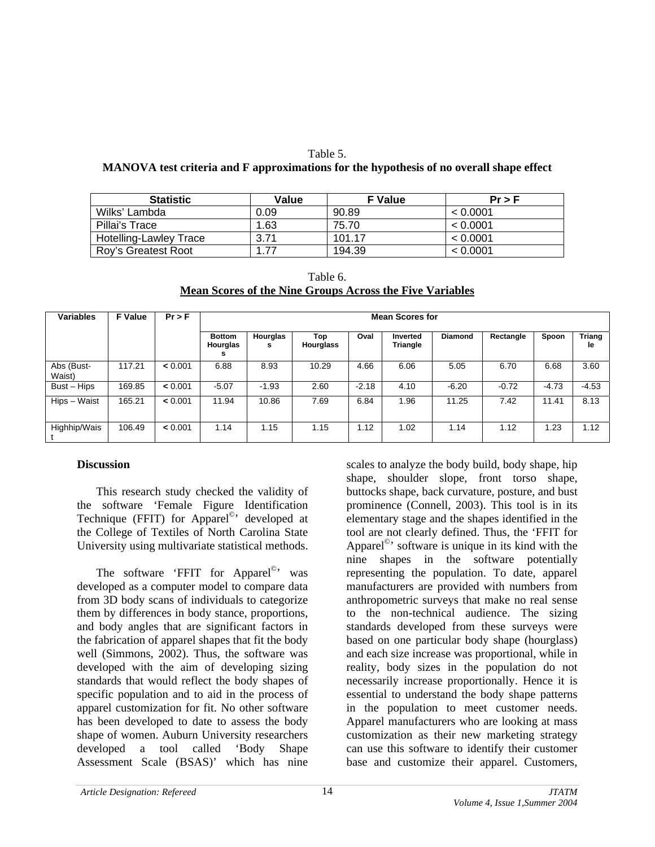# Table 5. **MANOVA test criteria and F approximations for the hypothesis of no overall shape effect**

| <b>Statistic</b>              | Value | <b>F</b> Value | $Pr$ > F |
|-------------------------------|-------|----------------|----------|
| Wilks' Lambda                 | 0.09  | 90.89          | < 0.0001 |
| Pillai's Trace                | 1.63  | 75.70          | < 0.0001 |
| <b>Hotelling-Lawley Trace</b> | 3.71  | 101.17         | < 0.0001 |
| Rov's Greatest Root           | 1.77  | 194.39         | < 0.0001 |

| <b>Variables</b>     | <b>F</b> Value |         |                                       | $Pr$ > F      |                         |         |                      |                | <b>Mean Scores for</b> |         |              |  |  |
|----------------------|----------------|---------|---------------------------------------|---------------|-------------------------|---------|----------------------|----------------|------------------------|---------|--------------|--|--|
|                      |                |         | <b>Bottom</b><br><b>Hourglas</b><br>s | Hourglas<br>s | Top<br><b>Hourglass</b> | Oval    | Inverted<br>Triangle | <b>Diamond</b> | Rectangle              | Spoon   | Triang<br>le |  |  |
| Abs (Bust-<br>Waist) | 117.21         | < 0.001 | 6.88                                  | 8.93          | 10.29                   | 4.66    | 6.06                 | 5.05           | 6.70                   | 6.68    | 3.60         |  |  |
| Bust - Hips          | 169.85         | < 0.001 | $-5.07$                               | $-1.93$       | 2.60                    | $-2.18$ | 4.10                 | $-6.20$        | $-0.72$                | $-4.73$ | $-4.53$      |  |  |
| Hips - Waist         | 165.21         | < 0.001 | 11.94                                 | 10.86         | 7.69                    | 6.84    | 1.96                 | 11.25          | 7.42                   | 11.41   | 8.13         |  |  |
| Highhip/Wais         | 106.49         | < 0.001 | 1.14                                  | 1.15          | 1.15                    | 1.12    | 1.02                 | 1.14           | 1.12                   | 1.23    | 1.12         |  |  |

### Table 6. **Mean Scores of the Nine Groups Across the Five Variables**

# **Discussion**

t

This research study checked the validity of the software 'Female Figure Identification Technique (FFIT) for Apparel<sup>©</sup>' developed at the College of Textiles of North Carolina State University using multivariate statistical methods.

The software 'FFIT for Apparel<sup>©</sup>' was developed as a computer model to compare data from 3D body scans of individuals to categorize them by differences in body stance, proportions, and body angles that are significant factors in the fabrication of apparel shapes that fit the body well (Simmons, 2002). Thus, the software was developed with the aim of developing sizing standards that would reflect the body shapes of specific population and to aid in the process of apparel customization for fit. No other software has been developed to date to assess the body shape of women. Auburn University researchers developed a tool called 'Body Shape Assessment Scale (BSAS)' which has nine

scales to analyze the body build, body shape, hip shape, shoulder slope, front torso shape, buttocks shape, back curvature, posture, and bust prominence (Connell, 2003). This tool is in its elementary stage and the shapes identified in the tool are not clearly defined. Thus, the 'FFIT for Apparel<sup> $\odot$ </sup> software is unique in its kind with the nine shapes in the software potentially representing the population. To date, apparel manufacturers are provided with numbers from anthropometric surveys that make no real sense to the non-technical audience. The sizing standards developed from these surveys were based on one particular body shape (hourglass) and each size increase was proportional, while in reality, body sizes in the population do not necessarily increase proportionally. Hence it is essential to understand the body shape patterns in the population to meet customer needs. Apparel manufacturers who are looking at mass customization as their new marketing strategy can use this software to identify their customer base and customize their apparel. Customers,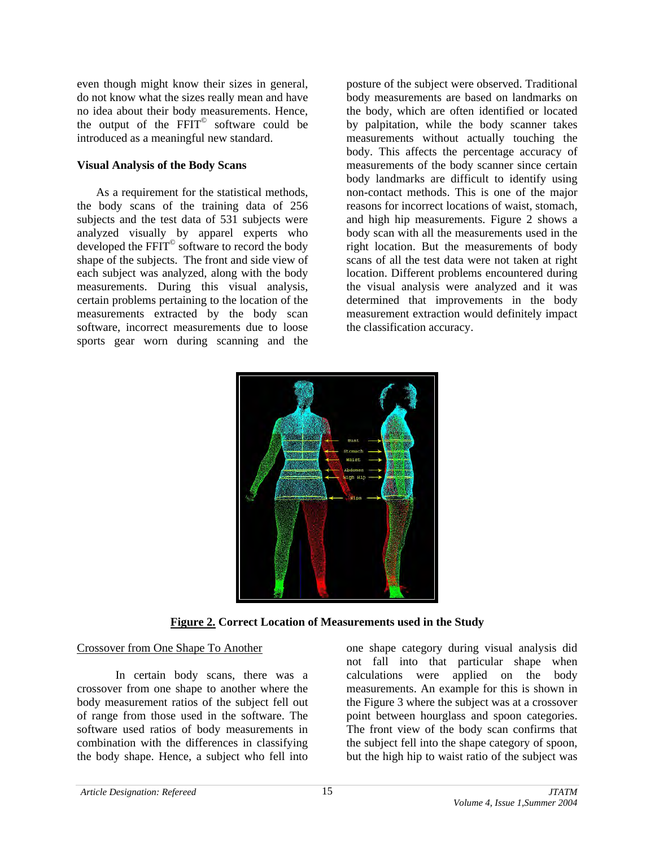even though might know their sizes in general, do not know what the sizes really mean and have no idea about their body measurements. Hence, the output of the  $\overline{FIT}^{\odot}$  software could be introduced as a meaningful new standard.

### **Visual Analysis of the Body Scans**

As a requirement for the statistical methods, the body scans of the training data of 256 subjects and the test data of 531 subjects were analyzed visually by apparel experts who developed the FFIT© software to record the body shape of the subjects. The front and side view of each subject was analyzed, along with the body measurements. During this visual analysis, certain problems pertaining to the location of the measurements extracted by the body scan software, incorrect measurements due to loose sports gear worn during scanning and the

posture of the subject were observed. Traditional body measurements are based on landmarks on the body, which are often identified or located by palpitation, while the body scanner takes measurements without actually touching the body. This affects the percentage accuracy of measurements of the body scanner since certain body landmarks are difficult to identify using non-contact methods. This is one of the major reasons for incorrect locations of waist, stomach, and high hip measurements. Figure 2 shows a body scan with all the measurements used in the right location. But the measurements of body scans of all the test data were not taken at right location. Different problems encountered during the visual analysis were analyzed and it was determined that improvements in the body measurement extraction would definitely impact the classification accuracy.



**Figure 2. Correct Location of Measurements used in the Study** 

#### Crossover from One Shape To Another

In certain body scans, there was a crossover from one shape to another where the body measurement ratios of the subject fell out of range from those used in the software. The software used ratios of body measurements in combination with the differences in classifying the body shape. Hence, a subject who fell into

one shape category during visual analysis did not fall into that particular shape when calculations were applied on the body measurements. An example for this is shown in the Figure 3 where the subject was at a crossover point between hourglass and spoon categories. The front view of the body scan confirms that the subject fell into the shape category of spoon, but the high hip to waist ratio of the subject was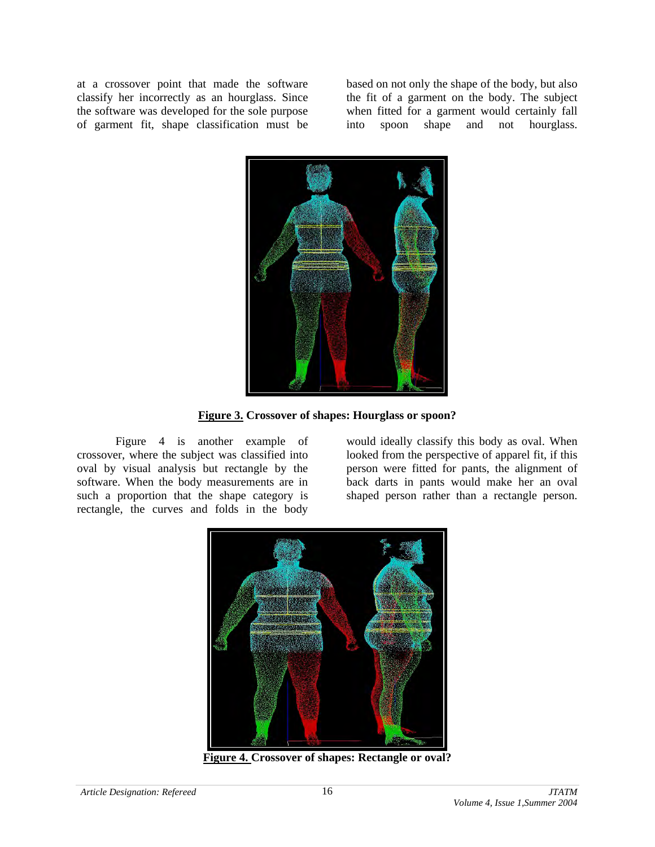at a crossover point that made the software classify her incorrectly as an hourglass. Since the software was developed for the sole purpose of garment fit, shape classification must be based on not only the shape of the body, but also the fit of a garment on the body. The subject when fitted for a garment would certainly fall into spoon shape and not hourglass.



**Figure 3. Crossover of shapes: Hourglass or spoon?** 

Figure 4 is another example of crossover, where the subject was classified into oval by visual analysis but rectangle by the software. When the body measurements are in such a proportion that the shape category is rectangle, the curves and folds in the body

would ideally classify this body as oval. When looked from the perspective of apparel fit, if this person were fitted for pants, the alignment of back darts in pants would make her an oval shaped person rather than a rectangle person.



**Figure 4. Crossover of shapes: Rectangle or oval?**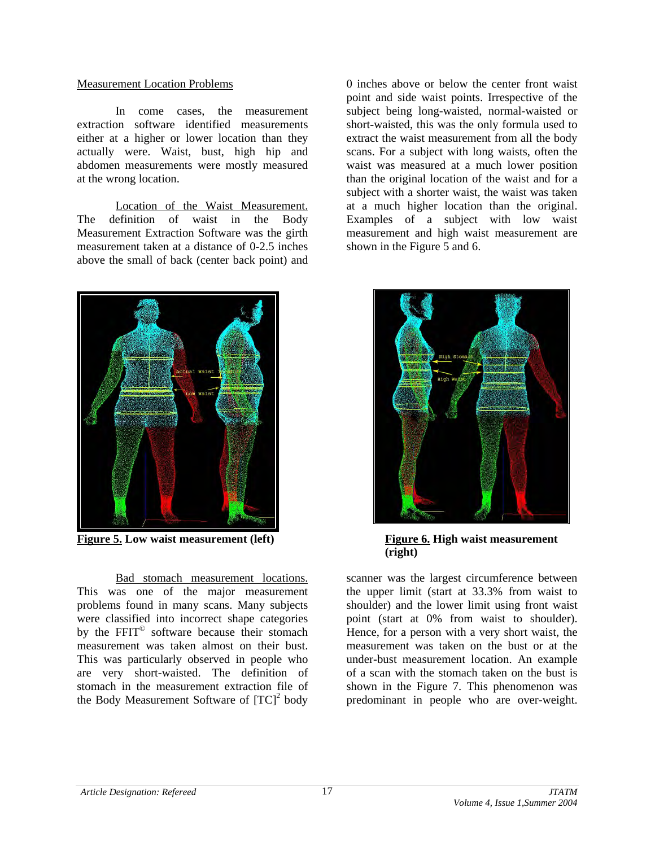#### Measurement Location Problems

In come cases, the measurement extraction software identified measurements either at a higher or lower location than they actually were. Waist, bust, high hip and abdomen measurements were mostly measured at the wrong location.

Location of the Waist Measurement. The definition of waist in the Body Measurement Extraction Software was the girth measurement taken at a distance of 0-2.5 inches above the small of back (center back point) and



**Figure 5. Low waist measurement (left) Figure 6. High waist measurement** 

Bad stomach measurement locations. This was one of the major measurement problems found in many scans. Many subjects were classified into incorrect shape categories by the FFIT<sup>®</sup> software because their stomach measurement was taken almost on their bust. This was particularly observed in people who are very short-waisted. The definition of stomach in the measurement extraction file of the Body Measurement Software of  ${[TC]}^2$  body

0 inches above or below the center front waist point and side waist points. Irrespective of the subject being long-waisted, normal-waisted or short-waisted, this was the only formula used to extract the waist measurement from all the body scans. For a subject with long waists, often the waist was measured at a much lower position than the original location of the waist and for a subject with a shorter waist, the waist was taken at a much higher location than the original. Examples of a subject with low waist measurement and high waist measurement are shown in the Figure 5 and 6.



**(right)** 

scanner was the largest circumference between the upper limit (start at 33.3% from waist to shoulder) and the lower limit using front waist point (start at 0% from waist to shoulder). Hence, for a person with a very short waist, the measurement was taken on the bust or at the under-bust measurement location. An example of a scan with the stomach taken on the bust is shown in the Figure 7. This phenomenon was predominant in people who are over-weight.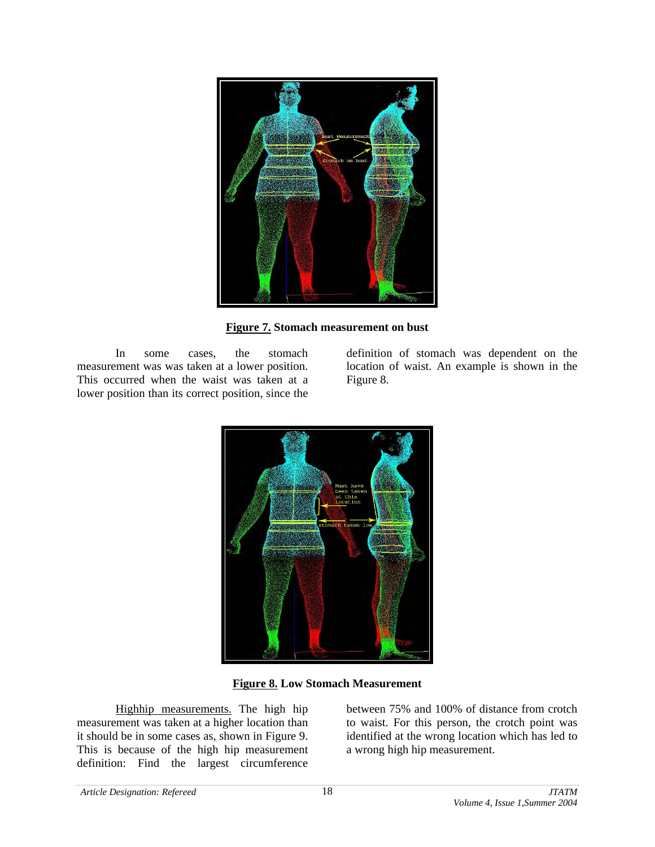

**Figure 7. Stomach measurement on bust** 

In some cases, the stomach measurement was was taken at a lower position. This occurred when the waist was taken at a lower position than its correct position, since the

definition of stomach was dependent on the location of waist. An example is shown in the Figure 8.



**Figure 8. Low Stomach Measurement** 

Highhip measurements. The high hip measurement was taken at a higher location than it should be in some cases as, shown in Figure 9. This is because of the high hip measurement definition: Find the largest circumference

between 75% and 100% of distance from crotch to waist. For this person, the crotch point was identified at the wrong location which has led to a wrong high hip measurement.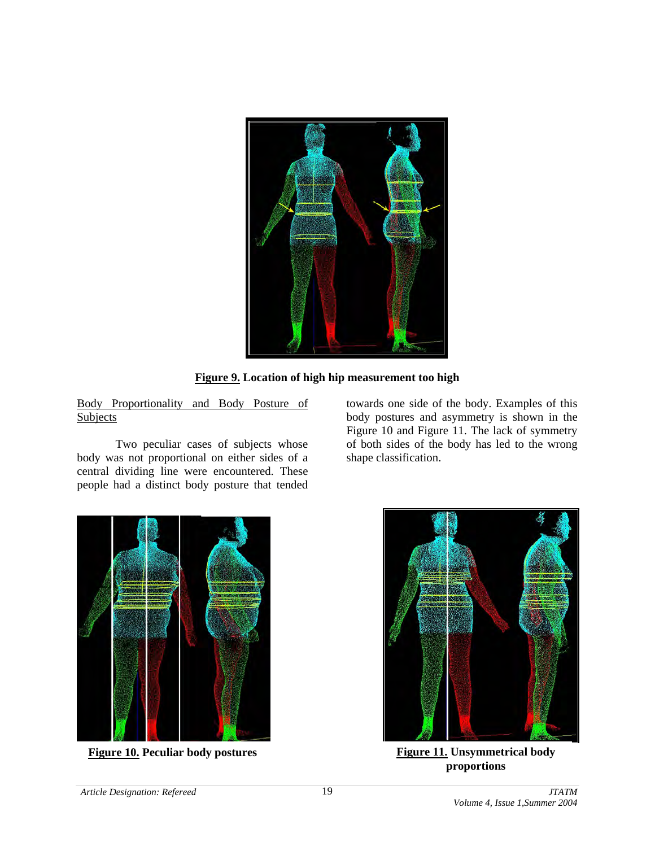

**Figure 9. Location of high hip measurement too high** 

Body Proportionality and Body Posture of **Subjects** 

Two peculiar cases of subjects whose body was not proportional on either sides of a central dividing line were encountered. These people had a distinct body posture that tended

towards one side of the body. Examples of this body postures and asymmetry is shown in the Figure 10 and Figure 11. The lack of symmetry of both sides of the body has led to the wrong shape classification.



**Figure 10. Peculiar body postures Figure 11. Unsymmetrical body** 



**proportions**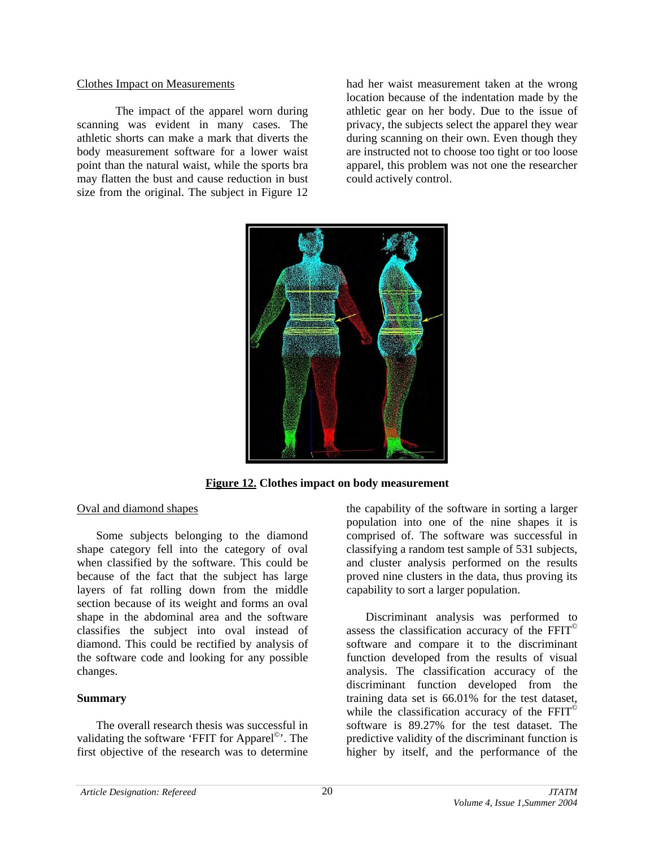#### Clothes Impact on Measurements

The impact of the apparel worn during scanning was evident in many cases. The athletic shorts can make a mark that diverts the body measurement software for a lower waist point than the natural waist, while the sports bra may flatten the bust and cause reduction in bust size from the original. The subject in Figure 12

had her waist measurement taken at the wrong location because of the indentation made by the athletic gear on her body. Due to the issue of privacy, the subjects select the apparel they wear during scanning on their own. Even though they are instructed not to choose too tight or too loose apparel, this problem was not one the researcher could actively control.



**Figure 12. Clothes impact on body measurement** 

#### Oval and diamond shapes

Some subjects belonging to the diamond shape category fell into the category of oval when classified by the software. This could be because of the fact that the subject has large layers of fat rolling down from the middle section because of its weight and forms an oval shape in the abdominal area and the software classifies the subject into oval instead of diamond. This could be rectified by analysis of the software code and looking for any possible changes.

#### **Summary**

The overall research thesis was successful in validating the software 'FFIT for Apparel<sup>©</sup>'. The first objective of the research was to determine

the capability of the software in sorting a larger population into one of the nine shapes it is comprised of. The software was successful in classifying a random test sample of 531 subjects, and cluster analysis performed on the results proved nine clusters in the data, thus proving its capability to sort a larger population.

Discriminant analysis was performed to assess the classification accuracy of the FFIT© software and compare it to the discriminant function developed from the results of visual analysis. The classification accuracy of the discriminant function developed from the training data set is 66.01% for the test dataset, while the classification accuracy of the  $FFT^{\circ}$ software is 89.27% for the test dataset. The predictive validity of the discriminant function is higher by itself, and the performance of the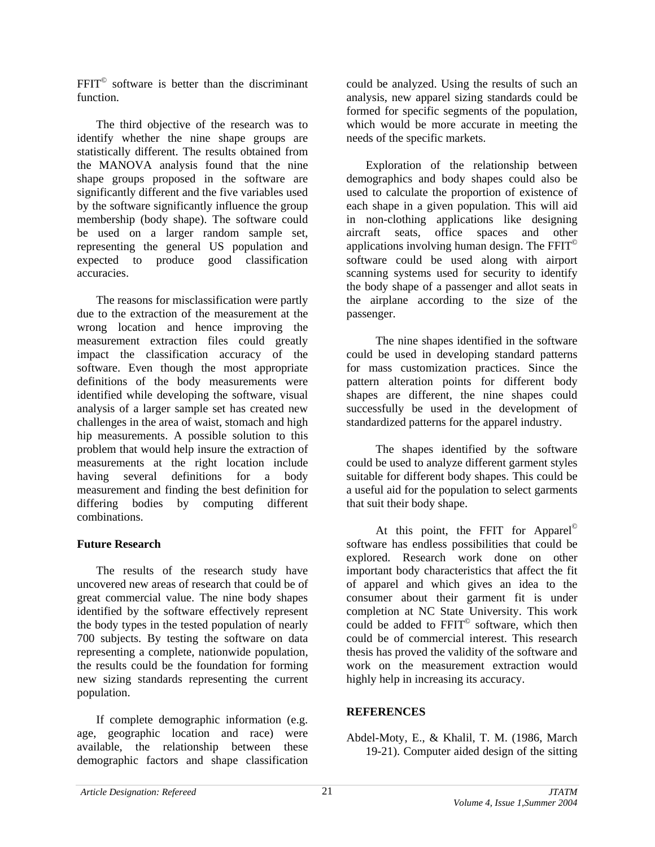FFIT<sup>©</sup> software is better than the discriminant function.

The third objective of the research was to identify whether the nine shape groups are statistically different. The results obtained from the MANOVA analysis found that the nine shape groups proposed in the software are significantly different and the five variables used by the software significantly influence the group membership (body shape). The software could be used on a larger random sample set, representing the general US population and expected to produce good classification accuracies.

The reasons for misclassification were partly due to the extraction of the measurement at the wrong location and hence improving the measurement extraction files could greatly impact the classification accuracy of the software. Even though the most appropriate definitions of the body measurements were identified while developing the software, visual analysis of a larger sample set has created new challenges in the area of waist, stomach and high hip measurements. A possible solution to this problem that would help insure the extraction of measurements at the right location include having several definitions for a body measurement and finding the best definition for differing bodies by computing different combinations.

### **Future Research**

The results of the research study have uncovered new areas of research that could be of great commercial value. The nine body shapes identified by the software effectively represent the body types in the tested population of nearly 700 subjects. By testing the software on data representing a complete, nationwide population, the results could be the foundation for forming new sizing standards representing the current population.

If complete demographic information (e.g. age, geographic location and race) were available, the relationship between these demographic factors and shape classification

could be analyzed. Using the results of such an analysis, new apparel sizing standards could be formed for specific segments of the population, which would be more accurate in meeting the needs of the specific markets.

Exploration of the relationship between demographics and body shapes could also be used to calculate the proportion of existence of each shape in a given population. This will aid in non-clothing applications like designing aircraft seats, office spaces and other applications involving human design. The FFIT© software could be used along with airport scanning systems used for security to identify the body shape of a passenger and allot seats in the airplane according to the size of the passenger.

 The nine shapes identified in the software could be used in developing standard patterns for mass customization practices. Since the pattern alteration points for different body shapes are different, the nine shapes could successfully be used in the development of standardized patterns for the apparel industry.

 The shapes identified by the software could be used to analyze different garment styles suitable for different body shapes. This could be a useful aid for the population to select garments that suit their body shape.

 At this point, the FFIT for Apparel© software has endless possibilities that could be explored. Research work done on other important body characteristics that affect the fit of apparel and which gives an idea to the consumer about their garment fit is under completion at NC State University. This work could be added to FFIT<sup>®</sup> software, which then could be of commercial interest. This research thesis has proved the validity of the software and work on the measurement extraction would highly help in increasing its accuracy.

# **REFERENCES**

Abdel-Moty, E., & Khalil, T. M. (1986, March 19-21). Computer aided design of the sitting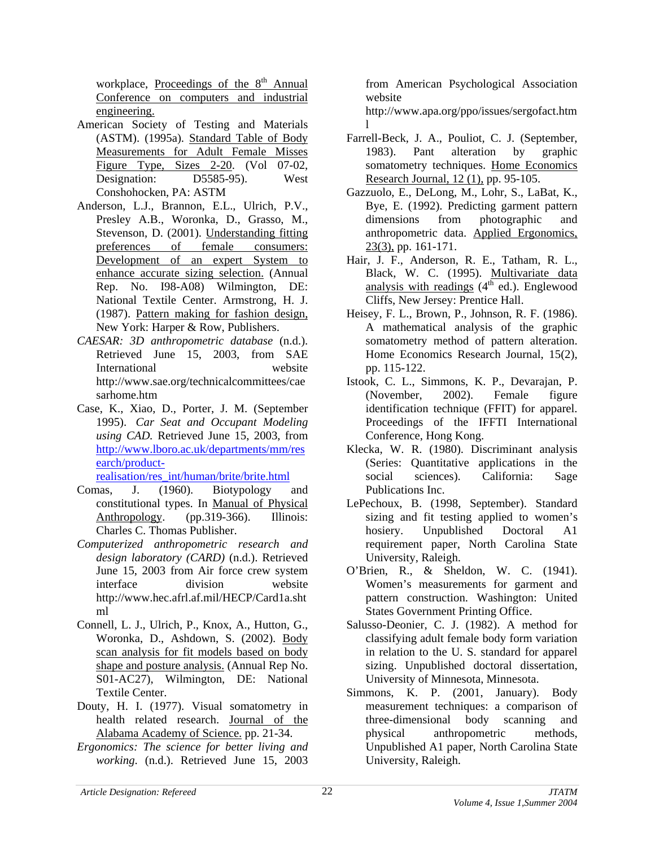workplace, Proceedings of the 8<sup>th</sup> Annual Conference on computers and industrial engineering.

- American Society of Testing and Materials (ASTM). (1995a). Standard Table of Body Measurements for Adult Female Misses Figure Type, Sizes 2-20. (Vol 07-02, Designation: D5585-95). West Conshohocken, PA: ASTM
- Anderson, L.J., Brannon, E.L., Ulrich, P.V., Presley A.B., Woronka, D., Grasso, M., Stevenson, D. (2001). Understanding fitting preferences of female consumers: Development of an expert System to enhance accurate sizing selection. (Annual Rep. No. I98-A08) Wilmington, DE: National Textile Center. Armstrong, H. J. (1987). Pattern making for fashion design, New York: Harper & Row, Publishers.
- *CAESAR: 3D anthropometric database* (n.d.). Retrieved June 15, 2003, from SAE International website <http://www.sae.org/technicalcommittees/cae> sarhome.htm
- Case, K., Xiao, D., Porter, J. M. (September 1995). *Car Seat and Occupant Modeling using CAD.* Retrieved June 15, 2003, from <http://www.lboro.ac.uk/departments/mm/res> earch/product-

realisation/res\_int/human/brite/brite.html

- Comas, J. (1960). Biotypology and constitutional types. In Manual of Physical Anthropology. (pp.319-366). Illinois: Charles C. Thomas Publisher.
- *Computerized anthropometric research and design laboratory (CARD)* (n.d.). Retrieved June 15, 2003 from Air force crew system interface division website <http://www.hec.afrl.af.mil/HECP/Card1a.sht> ml
- Connell, L. J., Ulrich, P., Knox, A., Hutton, G., Woronka, D., Ashdown, S. (2002). Body scan analysis for fit models based on body shape and posture analysis. (Annual Rep No. S01-AC27), Wilmington, DE: National Textile Center.
- Douty, H. I. (1977). Visual somatometry in health related research. Journal of the Alabama Academy of Science. pp. 21-34.
- *Ergonomics: The science for better living and working*. (n.d.). Retrieved June 15, 2003

from American Psychological Association website

<http://www.apa.org/ppo/issues/sergofact.htm> l

- Farrell-Beck, J. A., Pouliot, C. J. (September, 1983). Pant alteration by graphic somatometry techniques. Home Economics Research Journal, 12 (1), pp. 95-105.
- Gazzuolo, E., DeLong, M., Lohr, S., LaBat, K., Bye, E. (1992). Predicting garment pattern dimensions from photographic and anthropometric data. Applied Ergonomics, 23(3), pp. 161-171.
- Hair, J. F., Anderson, R. E., Tatham, R. L., Black, W. C. (1995). Multivariate data analysis with readings  $(4<sup>th</sup>$  ed.). Englewood Cliffs, New Jersey: Prentice Hall.
- Heisey, F. L., Brown, P., Johnson, R. F. (1986). A mathematical analysis of the graphic somatometry method of pattern alteration. Home Economics Research Journal, 15(2), pp. 115-122.
- Istook, C. L., Simmons, K. P., Devarajan, P. (November, 2002). Female figure identification technique (FFIT) for apparel. Proceedings of the IFFTI International Conference, Hong Kong.
- Klecka, W. R. (1980). Discriminant analysis (Series: Quantitative applications in the social sciences). California: Sage Publications Inc.
- LePechoux, B. (1998, September). Standard sizing and fit testing applied to women's hosiery. Unpublished Doctoral A1 requirement paper, North Carolina State University, Raleigh.
- O'Brien, R., & Sheldon, W. C. (1941). Women's measurements for garment and pattern construction. Washington: United States Government Printing Office.
- Salusso-Deonier, C. J. (1982). A method for classifying adult female body form variation in relation to the U. S. standard for apparel sizing. Unpublished doctoral dissertation, University of Minnesota, Minnesota.
- Simmons, K. P. (2001, January). Body measurement techniques: a comparison of three-dimensional body scanning and physical anthropometric methods, Unpublished A1 paper, North Carolina State University, Raleigh.